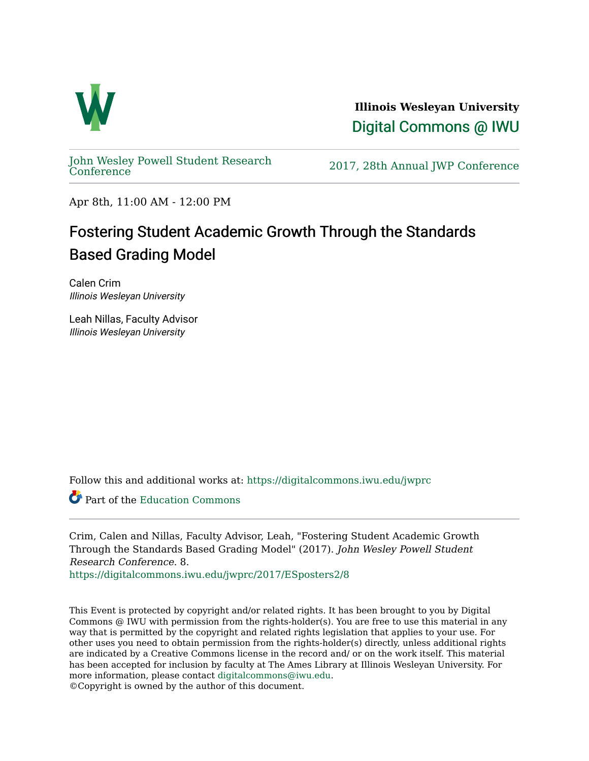

**Illinois Wesleyan University**  [Digital Commons @ IWU](https://digitalcommons.iwu.edu/) 

[John Wesley Powell Student Research](https://digitalcommons.iwu.edu/jwprc) 

2017, 28th Annual JWP [Conference](https://digitalcommons.iwu.edu/jwprc)

Apr 8th, 11:00 AM - 12:00 PM

#### Fostering Student Academic Growth Through the Standards Based Grading Model

Calen Crim Illinois Wesleyan University

Leah Nillas, Faculty Advisor Illinois Wesleyan University

Follow this and additional works at: [https://digitalcommons.iwu.edu/jwprc](https://digitalcommons.iwu.edu/jwprc?utm_source=digitalcommons.iwu.edu%2Fjwprc%2F2017%2FESposters2%2F8&utm_medium=PDF&utm_campaign=PDFCoverPages) 

Part of the [Education Commons](http://network.bepress.com/hgg/discipline/784?utm_source=digitalcommons.iwu.edu%2Fjwprc%2F2017%2FESposters2%2F8&utm_medium=PDF&utm_campaign=PDFCoverPages)

Crim, Calen and Nillas, Faculty Advisor, Leah, "Fostering Student Academic Growth Through the Standards Based Grading Model" (2017). John Wesley Powell Student Research Conference. 8.

[https://digitalcommons.iwu.edu/jwprc/2017/ESposters2/8](https://digitalcommons.iwu.edu/jwprc/2017/ESposters2/8?utm_source=digitalcommons.iwu.edu%2Fjwprc%2F2017%2FESposters2%2F8&utm_medium=PDF&utm_campaign=PDFCoverPages) 

This Event is protected by copyright and/or related rights. It has been brought to you by Digital Commons @ IWU with permission from the rights-holder(s). You are free to use this material in any way that is permitted by the copyright and related rights legislation that applies to your use. For other uses you need to obtain permission from the rights-holder(s) directly, unless additional rights are indicated by a Creative Commons license in the record and/ or on the work itself. This material has been accepted for inclusion by faculty at The Ames Library at Illinois Wesleyan University. For more information, please contact [digitalcommons@iwu.edu](mailto:digitalcommons@iwu.edu). ©Copyright is owned by the author of this document.